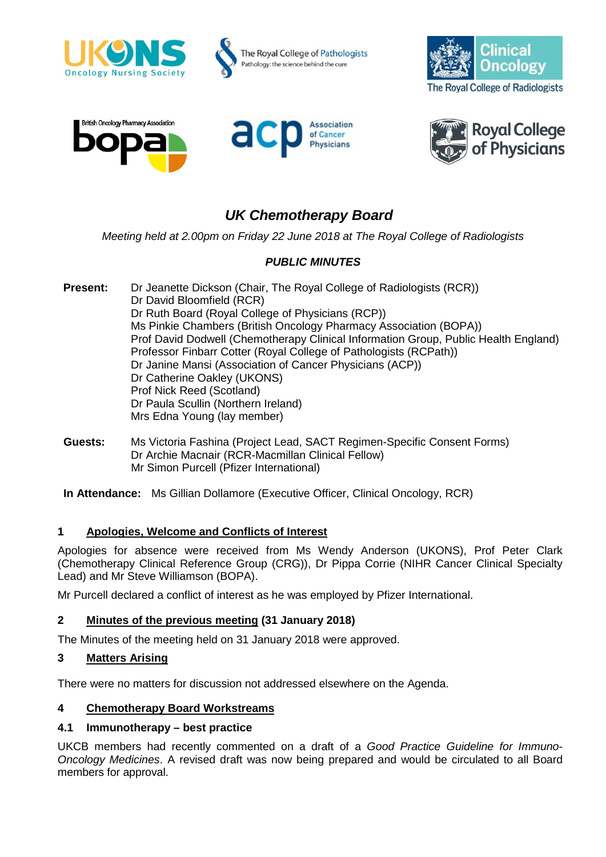









# *UK Chemotherapy Board*

*Meeting held at 2.00pm on Friday 22 June 2018 at The Royal College of Radiologists*

# *PUBLIC MINUTES*

**Present:** Dr Jeanette Dickson (Chair, The Royal College of Radiologists (RCR)) Dr David Bloomfield (RCR) Dr Ruth Board (Royal College of Physicians (RCP)) Ms Pinkie Chambers (British Oncology Pharmacy Association (BOPA)) Prof David Dodwell (Chemotherapy Clinical Information Group, Public Health England) Professor Finbarr Cotter (Royal College of Pathologists (RCPath)) Dr Janine Mansi (Association of Cancer Physicians (ACP)) Dr Catherine Oakley (UKONS) Prof Nick Reed (Scotland) Dr Paula Scullin (Northern Ireland) Mrs Edna Young (lay member)

**Guests:** Ms Victoria Fashina (Project Lead, SACT Regimen-Specific Consent Forms) Dr Archie Macnair (RCR-Macmillan Clinical Fellow) Mr Simon Purcell (Pfizer International)

**In Attendance:** Ms Gillian Dollamore (Executive Officer, Clinical Oncology, RCR)

#### **1 Apologies, Welcome and Conflicts of Interest**

Apologies for absence were received from Ms Wendy Anderson (UKONS), Prof Peter Clark (Chemotherapy Clinical Reference Group (CRG)), Dr Pippa Corrie (NIHR Cancer Clinical Specialty Lead) and Mr Steve Williamson (BOPA).

Mr Purcell declared a conflict of interest as he was employed by Pfizer International.

# **2 Minutes of the previous meeting (31 January 2018)**

The Minutes of the meeting held on 31 January 2018 were approved.

#### **3 Matters Arising**

There were no matters for discussion not addressed elsewhere on the Agenda.

# **4 Chemotherapy Board Workstreams**

#### **4.1 Immunotherapy – best practice**

UKCB members had recently commented on a draft of a *Good Practice Guideline for Immuno-Oncology Medicines*. A revised draft was now being prepared and would be circulated to all Board members for approval.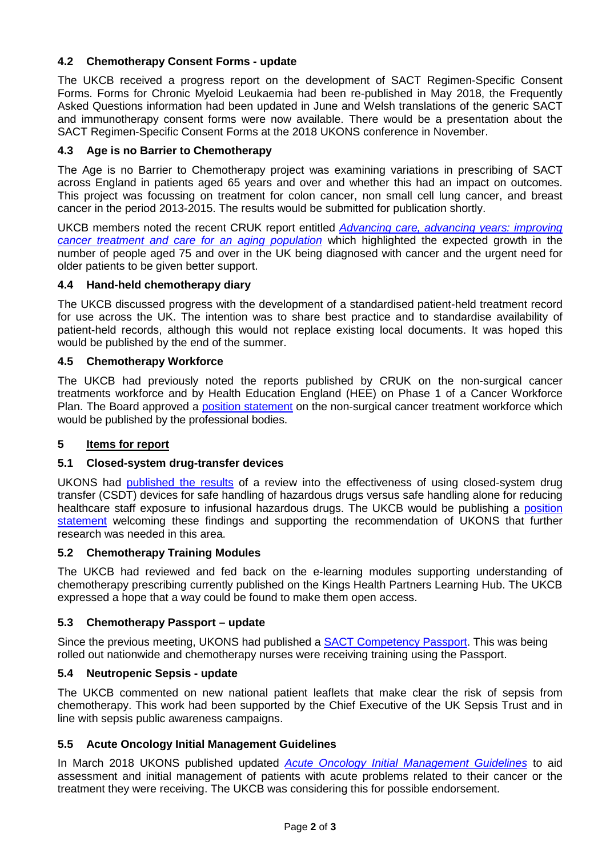# **4.2 Chemotherapy Consent Forms - update**

The UKCB received a progress report on the development of SACT Regimen-Specific Consent Forms. Forms for Chronic Myeloid Leukaemia had been re-published in May 2018, the Frequently Asked Questions information had been updated in June and Welsh translations of the generic SACT and immunotherapy consent forms were now available. There would be a presentation about the SACT Regimen-Specific Consent Forms at the 2018 UKONS conference in November.

## **4.3 Age is no Barrier to Chemotherapy**

The Age is no Barrier to Chemotherapy project was examining variations in prescribing of SACT across England in patients aged 65 years and over and whether this had an impact on outcomes. This project was focussing on treatment for colon cancer, non small cell lung cancer, and breast cancer in the period 2013-2015. The results would be submitted for publication shortly.

UKCB members noted the recent CRUK report entitled *[Advancing care, advancing years: improving](https://www.cancerresearchuk.org/about-us/we-develop-policy/our-policy-on-access-to-cancer-treatments/treating-and-caring-for-an-ageing-population)  [cancer treatment and care for an aging population](https://www.cancerresearchuk.org/about-us/we-develop-policy/our-policy-on-access-to-cancer-treatments/treating-and-caring-for-an-ageing-population)* which highlighted the expected growth in the number of people aged 75 and over in the UK being diagnosed with cancer and the urgent need for older patients to be given better support.

#### **4.4 Hand-held chemotherapy diary**

The UKCB discussed progress with the development of a standardised patient-held treatment record for use across the UK. The intention was to share best practice and to standardise availability of patient-held records, although this would not replace existing local documents. It was hoped this would be published by the end of the summer.

#### **4.5 Chemotherapy Workforce**

The UKCB had previously noted the reports published by CRUK on the non-surgical cancer treatments workforce and by Health Education England (HEE) on Phase 1 of a Cancer Workforce Plan. The Board approved a [position statement](https://www.rcr.ac.uk/sites/default/files/statement_non_surgical_cancer_treatment_workforce_uk_chemotherapy_board_jun2018.pdf) on the non-surgical cancer treatment workforce which would be published by the professional bodies.

### **5 Items for report**

#### **5.1 Closed-system drug-transfer devices**

UKONS had [published the results](https://az659834.vo.msecnd.net/eventsairwesteuprod/production-succinct-public/71d5396796cc4b0a8720b10064fa1bc1) of a review into the effectiveness of using closed-system drug transfer (CSDT) devices for safe handling of hazardous drugs versus safe handling alone for reducing healthcare staff exposure to infusional hazardous drugs. The UKCB would be publishing a [position](https://www.rcr.ac.uk/sites/default/files/closed_system_drug_transfer_devices_ukcb_statement_jul2018.pdf)  [statement](https://www.rcr.ac.uk/sites/default/files/closed_system_drug_transfer_devices_ukcb_statement_jul2018.pdf) welcoming these findings and supporting the recommendation of UKONS that further research was needed in this area.

#### **5.2 Chemotherapy Training Modules**

The UKCB had reviewed and fed back on the e-learning modules supporting understanding of chemotherapy prescribing currently published on the Kings Health Partners Learning Hub. The UKCB expressed a hope that a way could be found to make them open access.

#### **5.3 Chemotherapy Passport – update**

Since the previous meeting, UKONS had published a SACT [Competency Passport.](https://az659834.vo.msecnd.net/eventsairwesteuprod/production-succinct-public/7cc7a2ab2336448bb47fa72423c935d9) This was being rolled out nationwide and chemotherapy nurses were receiving training using the Passport.

#### **5.4 Neutropenic Sepsis - update**

The UKCB commented on new national patient leaflets that make clear the risk of sepsis from chemotherapy. This work had been supported by the Chief Executive of the UK Sepsis Trust and in line with sepsis public awareness campaigns.

#### **5.5 Acute Oncology Initial Management Guidelines**

In March 2018 UKONS published updated *[Acute Oncology Initial Management Guidelines](https://az659834.vo.msecnd.net/eventsairwesteuprod/production-succinct-public/e80a54a0570a470bb0cf1ab07a7644e7)* to aid assessment and initial management of patients with acute problems related to their cancer or the treatment they were receiving. The UKCB was considering this for possible endorsement.